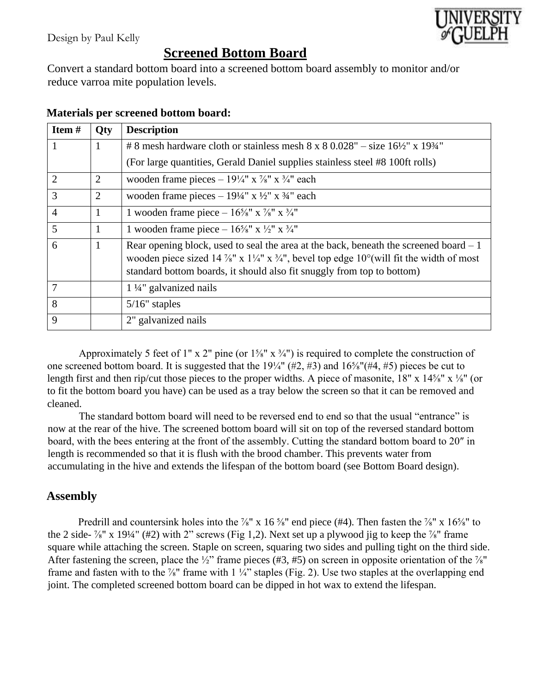

## **Screened Bottom Board**

Convert a standard bottom board into a screened bottom board assembly to monitor and/or reduce varroa mite population levels.

| Item#          | <b>Qty</b>     | <b>Description</b>                                                                                                                                                                                                                                       |
|----------------|----------------|----------------------------------------------------------------------------------------------------------------------------------------------------------------------------------------------------------------------------------------------------------|
|                | 1              | # 8 mesh hardware cloth or stainless mesh $8 \times 80.028$ " – size $16\frac{1}{2}$ " x $19\frac{3}{4}$ "                                                                                                                                               |
|                |                | (For large quantities, Gerald Daniel supplies stainless steel #8 100ft rolls)                                                                                                                                                                            |
| $\overline{2}$ | 2              | wooden frame pieces – $19\frac{1}{4}$ " x $\frac{7}{8}$ " x $\frac{3}{4}$ " each                                                                                                                                                                         |
| 3              | $\overline{2}$ | wooden frame pieces – $19\frac{1}{4}$ " x $\frac{1}{2}$ " x $\frac{3}{4}$ " each                                                                                                                                                                         |
| $\overline{4}$ | 1              | 1 wooden frame piece – $16\frac{5}{8}$ " x $\frac{7}{8}$ " x $\frac{3}{4}$ "                                                                                                                                                                             |
| 5              | $\mathbf{1}$   | 1 wooden frame piece – $16\frac{5}{8}$ " x $\frac{1}{2}$ " x $\frac{3}{4}$ "                                                                                                                                                                             |
| 6              | 1              | Rear opening block, used to seal the area at the back, beneath the screened board $-1$<br>wooden piece sized 14 %" x 1¼" x 3⁄4", bevel top edge 10°(will fit the width of most<br>standard bottom boards, it should also fit snuggly from top to bottom) |
| 7              |                | $1\frac{1}{4}$ " galvanized nails                                                                                                                                                                                                                        |
| 8              |                | $5/16$ " staples                                                                                                                                                                                                                                         |
| 9              |                | 2" galvanized nails                                                                                                                                                                                                                                      |

## **Materials per screened bottom board:**

Approximately 5 feet of 1" x 2" pine (or  $1\frac{1}{8}$ " x  $\frac{3}{4}$ ") is required to complete the construction of one screened bottom board. It is suggested that the 19¼" (#2, #3) and 16⅝"(#4, #5) pieces be cut to length first and then rip/cut those pieces to the proper widths. A piece of masonite, 18" x 14<sup>5</sup>/<sub>8</sub>" x <sup>1</sup>/<sub>8</sub>" (or to fit the bottom board you have) can be used as a tray below the screen so that it can be removed and cleaned.

The standard bottom board will need to be reversed end to end so that the usual "entrance" is now at the rear of the hive. The screened bottom board will sit on top of the reversed standard bottom board, with the bees entering at the front of the assembly. Cutting the standard bottom board to 20″ in length is recommended so that it is flush with the brood chamber. This prevents water from accumulating in the hive and extends the lifespan of the bottom board (see Bottom Board design).

## **Assembly**

Predrill and countersink holes into the  $\frac{7}{8}$ " x 16  $\frac{5}{8}$ " end piece (#4). Then fasten the  $\frac{7}{8}$ " x 16  $\frac{5}{8}$ " to the 2 side-  $\frac{7}{8}$ " x 19¼" (#2) with 2" screws (Fig 1,2). Next set up a plywood jig to keep the  $\frac{7}{8}$ " frame square while attaching the screen. Staple on screen, squaring two sides and pulling tight on the third side. After fastening the screen, place the ½" frame pieces (#3, #5) on screen in opposite orientation of the  $\frac{7}{8}$ " frame and fasten with to the  $\frac{7}{8}$ " frame with 1  $\frac{1}{4}$ " staples (Fig. 2). Use two staples at the overlapping end joint. The completed screened bottom board can be dipped in hot wax to extend the lifespan.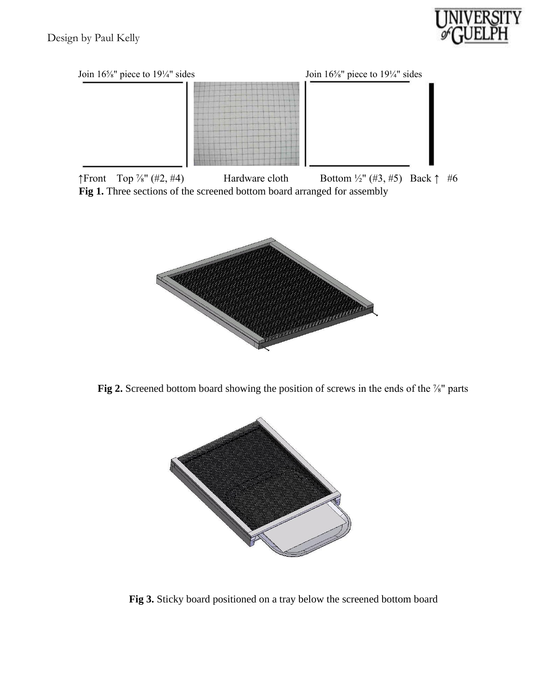



 $\uparrow$ Front Top  $\frac{7}{8}$ " (#2, #4) Hardware cloth Bottom  $\frac{1}{2}$ " (#3, #5) Back  $\uparrow$  #6 **Fig 1.** Three sections of the screened bottom board arranged for assembly



Fig 2. Screened bottom board showing the position of screws in the ends of the <sup>7/8</sup> parts



**Fig 3.** Sticky board positioned on a tray below the screened bottom board